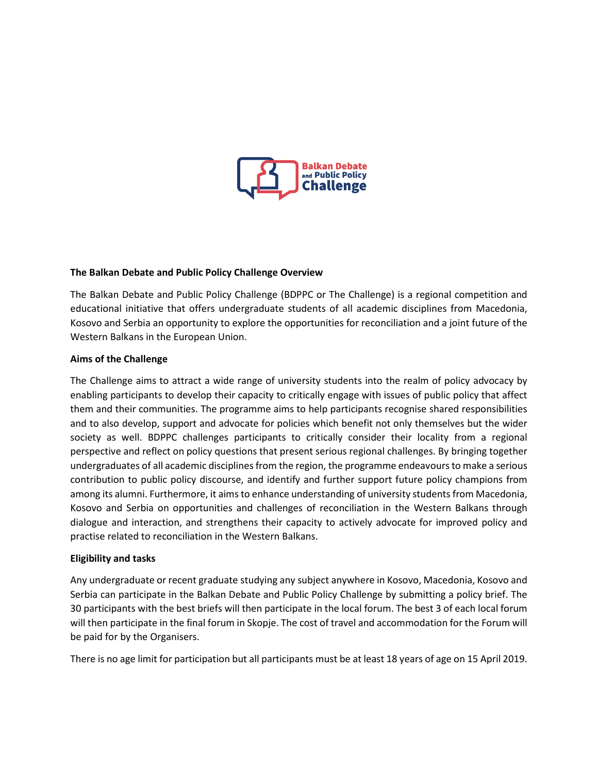

## **The Balkan Debate and Public Policy Challenge Overview**

The Balkan Debate and Public Policy Challenge (BDPPC or The Challenge) is a regional competition and educational initiative that offers undergraduate students of all academic disciplines from Macedonia, Kosovo and Serbia an opportunity to explore the opportunities for reconciliation and a joint future of the Western Balkans in the European Union.

## **Aims of the Challenge**

The Challenge aims to attract a wide range of university students into the realm of policy advocacy by enabling participants to develop their capacity to critically engage with issues of public policy that affect them and their communities. The programme aims to help participants recognise shared responsibilities and to also develop, support and advocate for policies which benefit not only themselves but the wider society as well. BDPPC challenges participants to critically consider their locality from a regional perspective and reflect on policy questions that present serious regional challenges. By bringing together undergraduates of all academic disciplines from the region, the programme endeavoursto make a serious contribution to public policy discourse, and identify and further support future policy champions from among its alumni. Furthermore, it aims to enhance understanding of university students from Macedonia, Kosovo and Serbia on opportunities and challenges of reconciliation in the Western Balkans through dialogue and interaction, and strengthens their capacity to actively advocate for improved policy and practise related to reconciliation in the Western Balkans.

## **Eligibility and tasks**

Any undergraduate or recent graduate studying any subject anywhere in Kosovo, Macedonia, Kosovo and Serbia can participate in the Balkan Debate and Public Policy Challenge by submitting a policy brief. The 30 participants with the best briefs will then participate in the local forum. The best 3 of each local forum will then participate in the final forum in Skopje. The cost of travel and accommodation for the Forum will be paid for by the Organisers.

There is no age limit for participation but all participants must be at least 18 years of age on 15 April 2019.